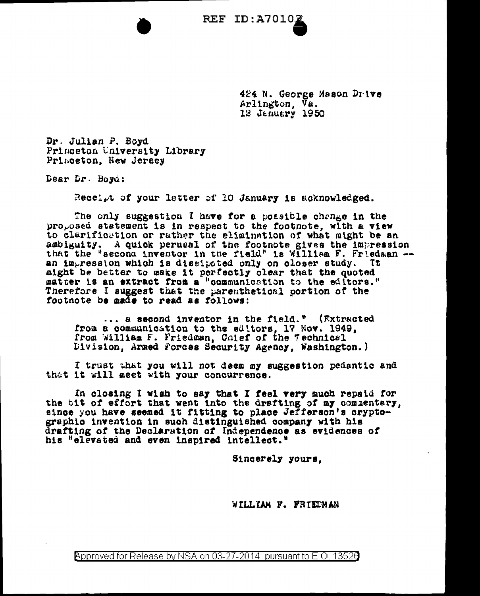424 N. George Mason Drive Arlington, Va. 12 January 1950

Dr. Julian P. Boyd Princeton University Library Princeton, New Jersey

Dear Dr. Boyd:

Receipt of your letter of 10 January is acknowledged.

The only suggestion I have for a possible change in the proposed statement is in respect to the footnote, with a view to clarification or rather the elimination of what might be an ambiguity. A quick perusal of the footnote gives the impression that the "second inventor in the field" is William F. Friedman -an impression which is dissipated only on closer study. Tt. might be better to make it perfectly clear that the quoted matter is an extract from a "communication to the editors." Therefore I suggest that the parenthetical portion of the footnote be made to read as follows:

... a second inventor in the field." (Extracted from a communication to the editors, 17 Nov. 1949, from William F. Friedman, Colef of the Technical Division, Armed Forces Security Agency, Washington.)

I trust that you will not deem my suggestion pedantic and that it will geet with your concurrence.

In closing I wish to say that I feel very much repaid for the tit of effort that went into the drafting of my commentary, since you have seemed it fitting to place Jefferson's crypto-<br>graphic invention in such distinguished company with his drafting of the Declaration of Independence as evidences of his "elevated and even inspired intellect."

Sincerely yours.

WILLIAM F. FRIEDMAN

Approved for Release by NSA on 03-27-2014 pursuant to E.O. 13526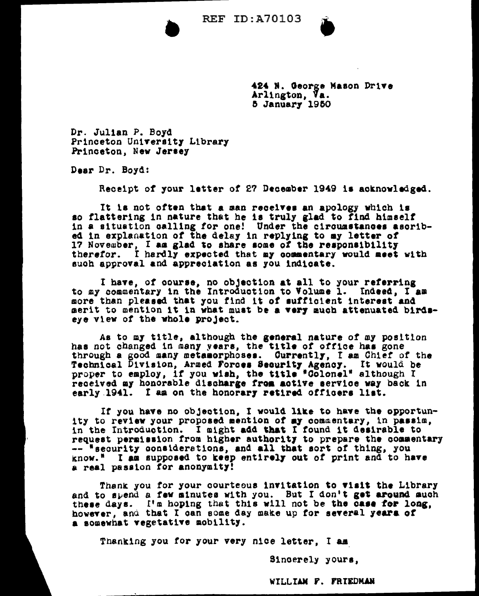

424 N. George Mason Drive Arlington, Va. 5 January 1950

Dr. Julian P. Boyd Princeton University Library Princeton, New Jersey

Dear Dr. Boyd:

Receipt of your letter of 27 December 1949 is acknowledged.

It is not often that a man receives an apology which is so flattering in nature that he is truly glad to find himself in a situation calling for one! Under the circumstances asoribed in explanation of the delay in replying to my letter of 17 November, I am glad to share some of the responsibility therefor. I hardly expected that my commentary would meet with such approval and appreciation as you indicate.

I have, of course, no objection at all to your referring to my commentary in the Introduction to Volume 1. Indeed, I am more than pleased that you find it of sufficient interest and merit to mention it in what must be a very much attenuated birdseye view of the whole project.

As to my title, although the general nature of my position has not changed in many years, the title of office has gone through a good many metamorphoses. Currently, I am Chief of the Technical Division, Armed Forces Security Agency. It would be proper to employ, if you wish, the title "Colonel" although I received my honorable discharge from active service way back in early 1941. I am on the honorary retired officers list.

If you have no objection. I would like to have the opportunity to review your proposed mention of my commentary, in passim. in the Introduction. I might add that I found it desirable to request permission from higher authority to prepare the commentary -- "security considerations, and all that sort of thing, you know." I as supposed to keep entirely out of print and to have a real passion for anonymity!

Thank you for your courteous invitation to visit the Library and to spend a few minutes with you. But I don't get around much these days. I'm hoping that this will not be the case for long, however, and that I can some day make up for several years of a somewhat vegetative mobility.

Thanking you for your very nice letter. I am

Sincerely yours,

WILLIAM F. FRIEDMAN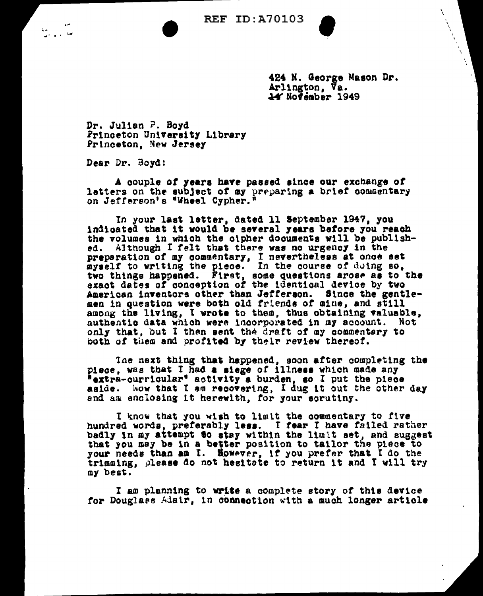N

424 N. George Mason Dr. Arlington, Va. 14 November 1949

Dr. Julian P. Boyd Princeton University Library Princeton, New Jersey

Dear Dr. Boyd:

A couple of years have passed since our exchange of letters on the subject of my preparing a brief commentary on Jefferson's "Wheel Cypher."

In your last letter, dated 11 September 1947, you indigated that it would be several years before you reach the volumes in which the cipher documents will be published. Although I felt that there was no urgency in the preparation of my commentary, I nevertheless at once set<br>myself to writing the piece. In the course of doing so,<br>two things happened. First, some questions arose as to the<br>exact dates of conception of the identical device American inventors other than Jefferson. Since the gentlemen in question were both old friends of mine, and still among the living, I wrote to them, thus obtaining valuable, authentic data which were incorporated in my account. Not only that, but I then sent the draft of my commentary to both of them and profited by their review thereof.

The next thing that happened, soon after completing the piece, was that I had a siege of illness which made any "extra-curricular" activity a burden, so I put the piece aside. Now that I am recovering, I dug it out the other day and an enclosing it herewith, for your scrutiny.

I know that you wish to limit the commentary to five<br>hundred words, preferably less. I fear I have failed rather badly in my attempt to stay within the limit set, and suggest that you may be in a better position to tailor the piece to your needs than an I. However, if you prefer that I do the trimming, please do not hesitate to return it and I will try my best.

I am planning to write a complete story of this device for Douglass Adair, in connection with a much longer article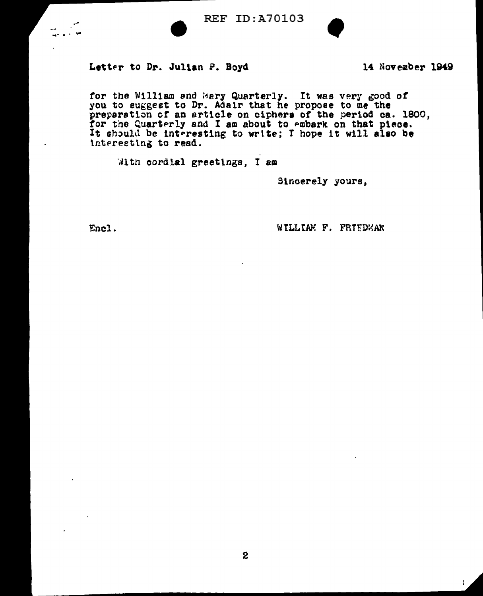



## Letter to Dr. Julian P. Boyd

14 November 1949

for the William and Mary Quarterly. It was very good of you to suggest to Dr. Adair that he propose to me the preparation of an article on ciphers of the period ca. 1800, for the Quarterly and I am about to embark on that piece.<br>It should be interesting to write; I hope it will also be interesting to read.

With cordial greetings. I am

Sincerely yours.

Encl.

WILLIAM F. FRIEDMAN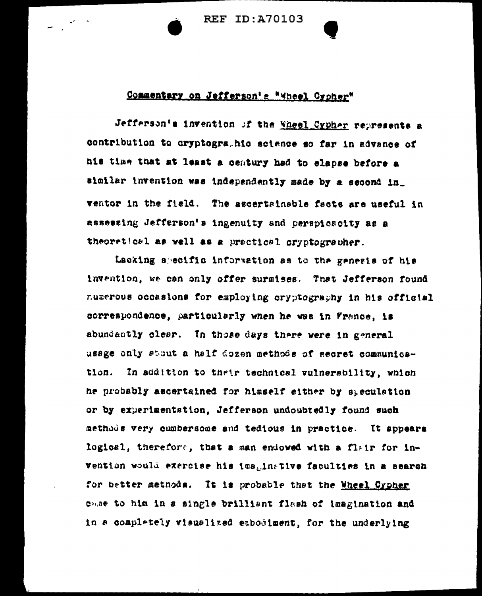**REF ID: A70103** 

## Commentary on Jefferson's \*Wheel Croher\*

Jefferson's invention of the Wheel Cypher represents a contribution to cryptogrs, his science so far in advance of his time that at least a century had to elapse before a similar invention was independently made by a second in\_ ventor in the field. The ascertainable facts are useful in assessing Jefferson's ingenuity and perspicacity as a theoretical as well as a practical cryptographer.

Lacking specific information as to the genesis of his invention, we can only offer surmises. That Jefferson found numerous occasions for employing cryptography in his official correspondence, particularly when he was in France, is abundantly clear. In those days there were in general usage only about a half dozen methods of secret communication. In addition to their technical vulnerability, which he probably ascertained for hisself either by speculation or by experimentation, Jefferson undoubtedly found such methods very cumbersome and tedious in practice. It appears logical, therefore, that a man endowed with a flair for invention would exercise his imaginative faculties in a search for better methods. It is probable that the Wheel Cypher came to him in a single brilliant flash of imagination and in a complately visualized embodiment, for the underlying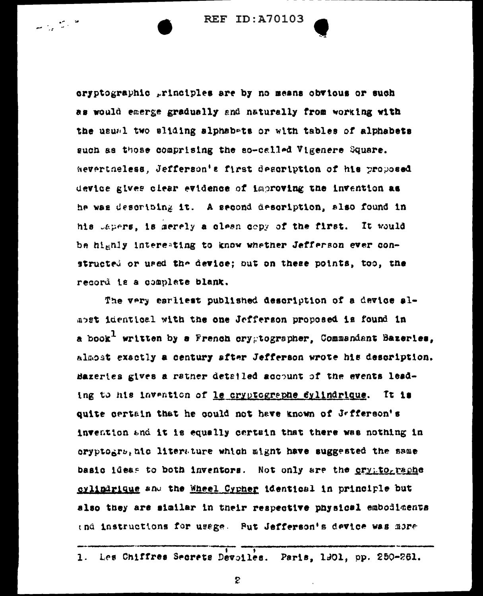eryptographic principles are by no means obvious or such as would emerge gradually and naturally from working with the usual two sliding alphabets or with tables of alphabets guch as those comprising the so-called Vigenere Square. Nevertheless. Jefferson's first description of his proposed device gives clear evidence of improving the invention as he was describing it. A second description, also found in his Japers, is merely a clean copy of the first. It would be highly interesting to know whether Jefferson ever constructed or used the device; out on these points, too, the record is a complete blank.

The very earliest published description of a device almost identical with the one Jefferson proposed is found in a book<sup>1</sup> written by a French crygtographer, Commandant Bazeries, almost exactly a century after Jefferson wrote his description. Bazeries gives a rather detailed account of the events leading to his invention of le cryptographe dylindrique. It is quite certain that he could not have known of Jefferson's invention and it is equally certain that there was nothing in oryptogrs, aic literature which might have suggested the same basic ideas to both inventors. Not only are the cryptographe cylindrique and the Wheel Cypher identical in principle but also they are similar in their respective physical embodiments end instructions for usage. Put Jefferson's device was more

Les Chiffres Secrets Devoiles. Paris, 1901, pp. 250-261.  $\mathbf{1}$ .

2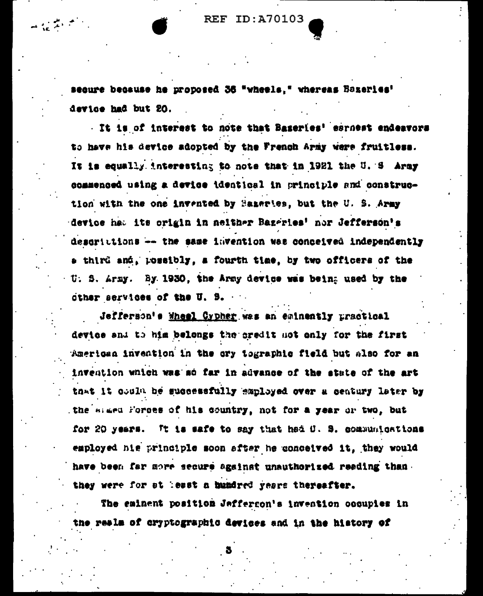secure because he proposed 36 "wheels." whereas Bazeries' device had but 20.

 $\mathbf{u} \in \mathbb{R}^{n \times n}$ 

It is of interest to note that Baseries' esrnest endeavors to have his device adopted by the French Army were fruitless. It is equally interesting to note that in 1921 the U. S Army commenced using a device identical in principle and construction with the one invented by Bazartes, but the U. S. Army device hat its crigin in neither Bazeries' nor Jefferson's descrittions -- the same lavention was conceived independently a third and, possibly, a fourth time, by two officers of the U. S. Army. By 1930, the Army device was being used by the other services of the U. S.

Jefferson's Wheel Cypher was an eminently uractical device and to him belongs the credit not only for the first American invention in the cry tographic field but also for an invention which was so far in advance of the state of the art that it could be successfully employed over a century later by the magn forces of his country, not for a year or two, but for 20 years. It is safe to say that had O. S. communications employed his principle soon after he conceived it, they would have been far more secure against unauthorized reading than they were for at least a bundred years thereafter.

The eminent position Jeffergon's invention occupies in the reals of cryptographic devices and in the history of